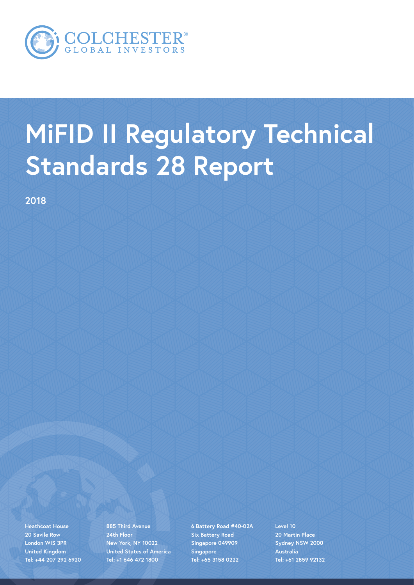

# **MiFID II Regulatory Technical Standards 28 Report**

**2018** 

**Heathcoat House 20 Savile Row London WIS 3PR United Kingdom Tel: +44 207 292 6920**

**885 Third Avenue 24th Floor New York, NY 10022 United States of America Tel: +1 646 472 1800**

**6 Battery Road #40-02A Six Battery Road Singapore 049909 Singapore Tel: +65 3158 0222**

**Level 10 20 Martin Place Sydney NSW 2000 Australia Tel: +61 2859 92132**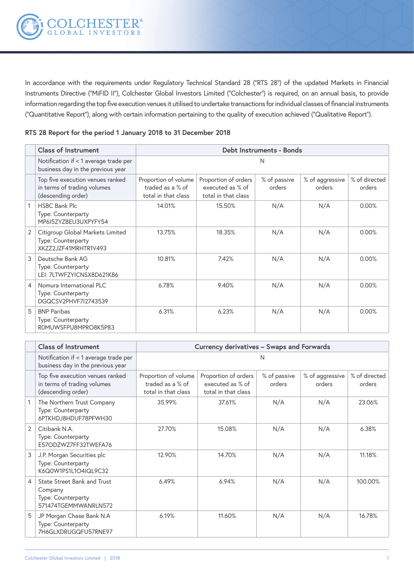In accordance with the requirements under Regulatory Technical Standard 28 ("RTS 28") of the updated Markets in Financial Instruments Directive ("MiFID II"), Colchester Global Investors Limited ("Colchester") is required, on an annual basis, to provide information regarding the top five execution venues it utilised to undertake transactions for individual classes of financial instruments ("Quantitative Report"), along with certain information pertaining to the quality of execution achieved ("Qualitative Report").

**RTS 28 Report for the period 1 January 2018 to 31 December 2018**

|                | <b>Class of Instrument</b>                                                            | Debt Instruments - Bonds                                        |                                                                 |                        |                           |                         |
|----------------|---------------------------------------------------------------------------------------|-----------------------------------------------------------------|-----------------------------------------------------------------|------------------------|---------------------------|-------------------------|
|                | Notification if < 1 average trade per<br>business day in the previous year            | N                                                               |                                                                 |                        |                           |                         |
|                | Top five execution venues ranked<br>in terms of trading volumes<br>(descending order) | Proportion of volume<br>traded as a % of<br>total in that class | Proportion of orders<br>executed as % of<br>total in that class | % of passive<br>orders | % of aggressive<br>orders | % of directed<br>orders |
|                | <b>HSBC Bank Plc</b><br>Type: Counterparty<br>MP6I5ZYZBEU3UXPYFY54                    | 14.01%                                                          | 15.50%                                                          | N/A                    | N/A                       | 0.00%                   |
| 2              | Citigroup Global Markets Limited<br>Type: Counterparty<br>XKZZ2JZF41MRHTR1V493        | 13.75%                                                          | 18.35%                                                          | N/A                    | N/A                       | 0.00%                   |
| 3              | Deutsche Bank AG<br>Type: Counterparty<br>LEI: 7LTWFZYICNSX8D621K86                   | 10.81%                                                          | 7.42%                                                           | N/A                    | N/A                       | 0.00%                   |
| $\overline{4}$ | Nomura International PLC<br>Type: Counterparty<br>DGQCSV2PHVF7I2743539                | 6.78%                                                           | 9.40%                                                           | N/A                    | N/A                       | 0.00%                   |
| 5              | <b>BNP Paribas</b><br>Type: Counterparty<br>ROMUWSFPU8MPRO8K5P83                      | 6.31%                                                           | 6.23%                                                           | N/A                    | N/A                       | 0.00%                   |

|                | <b>Class of Instrument</b>                                                            | Currency derivatives - Swaps and Forwards                       |                                                                 |                        |                           |                         |
|----------------|---------------------------------------------------------------------------------------|-----------------------------------------------------------------|-----------------------------------------------------------------|------------------------|---------------------------|-------------------------|
|                | Notification if < 1 average trade per<br>business day in the previous year            |                                                                 |                                                                 | N                      |                           |                         |
|                | Top five execution venues ranked<br>in terms of trading volumes<br>(descending order) | Proportion of volume<br>traded as a % of<br>total in that class | Proportion of orders<br>executed as % of<br>total in that class | % of passive<br>orders | % of aggressive<br>orders | % of directed<br>orders |
|                | The Northern Trust Company<br>Type: Counterparty<br>6PTKHDJ8HDUF78PFWH30              | 35.99%                                                          | 37.61%                                                          | N/A                    | N/A                       | 23.06%                  |
| $\overline{2}$ | Citibank N.A.<br>Type: Counterparty<br>E57ODZWZ7FF32TWEFA76                           | 27.70%                                                          | 15.08%                                                          | N/A                    | N/A                       | 6.38%                   |
| 3              | J.P. Morgan Securities plc<br>Type: Counterparty<br>K6Q0W1PS1L1O4IQL9C32              | 12.90%                                                          | 14.70%                                                          | N/A                    | N/A                       | 11.18%                  |
| $\overline{4}$ | State Street Bank and Trust<br>Company<br>Type: Counterparty<br>571474TGEMMWANRLN572  | 6.49%                                                           | 6.94%                                                           | N/A                    | N/A                       | 100.00%                 |
| 5              | JP Morgan Chase Bank N.A<br>Type: Counterparty<br>7H6GLXDRUGQFU57RNE97                | 6.19%                                                           | 11.60%                                                          | N/A                    | N/A                       | 16.78%                  |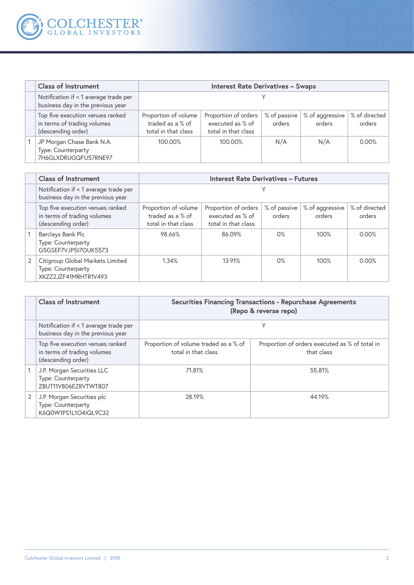

| <b>Class of Instrument</b>                                                            | <b>Interest Rate Derivatives - Swaps</b>                        |                                                                 |                        |                           |                         |
|---------------------------------------------------------------------------------------|-----------------------------------------------------------------|-----------------------------------------------------------------|------------------------|---------------------------|-------------------------|
| Notification if < 1 average trade per<br>business day in the previous year            |                                                                 |                                                                 |                        |                           |                         |
| Top five execution venues ranked<br>in terms of trading volumes<br>(descending order) | Proportion of volume<br>traded as a % of<br>total in that class | Proportion of orders<br>executed as % of<br>total in that class | % of passive<br>orders | % of aggressive<br>orders | % of directed<br>orders |
| JP Morgan Chase Bank N.A.<br>Type: Counterparty<br>7H6GLXDRUGQFU57RNE97               | 100.00%                                                         | 100.00%                                                         | N/A                    | N/A                       | 0.00%                   |

| <b>Class of Instrument</b>                                                            | <b>Interest Rate Derivatives - Futures</b>                      |                                                                 |                        |                           |                         |
|---------------------------------------------------------------------------------------|-----------------------------------------------------------------|-----------------------------------------------------------------|------------------------|---------------------------|-------------------------|
| Notification if < 1 average trade per<br>business day in the previous year            |                                                                 |                                                                 |                        |                           |                         |
| Top five execution venues ranked<br>in terms of trading volumes<br>(descending order) | Proportion of volume<br>traded as a % of<br>total in that class | Proportion of orders<br>executed as % of<br>total in that class | % of passive<br>orders | % of aggressive<br>orders | % of directed<br>orders |
| Barclays Bank Plc<br>Type: Counterparty<br>G5GSEF7VJP5I7OUK5573                       | 98.66%                                                          | 86.09%                                                          | 0%                     | 100%                      | 0.00%                   |
| Citigroup Global Markets Limited<br>Type: Counterparty<br>XKZZ2JZF41MRHTR1V493        | 1.34%                                                           | 13.91%                                                          | 0%                     | 100%                      | $0.00\%$                |

| <b>Class of Instrument</b>                                                            | <b>Securities Financing Transactions - Repurchase Agreements</b><br>(Repo & reverse repo) |                                                              |  |
|---------------------------------------------------------------------------------------|-------------------------------------------------------------------------------------------|--------------------------------------------------------------|--|
| Notification if < 1 average trade per<br>business day in the previous year            |                                                                                           |                                                              |  |
| Top five execution venues ranked<br>in terms of trading volumes<br>(descending order) | Proportion of volume traded as a % of<br>total in that class                              | Proportion of orders executed as % of total in<br>that class |  |
| J.P. Morgan Securities LLC<br>Type: Counterparty<br>ZBUT11V806EZRVTWT807              | 71.81%                                                                                    | 55.81%                                                       |  |
| J.P. Morgan Securities plc<br>Type: Counterparty<br>K6Q0W1PS1L1O4IQL9C32              | 28.19%                                                                                    | 44.19%                                                       |  |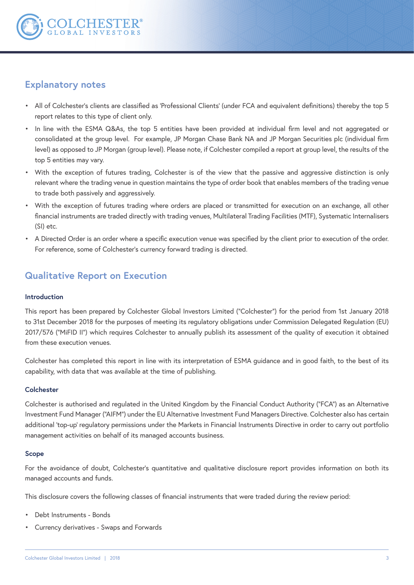

# **Explanatory notes**

- All of Colchester's clients are classified as 'Professional Clients' (under FCA and equivalent definitions) thereby the top 5 report relates to this type of client only.
- In line with the ESMA Q&As, the top 5 entities have been provided at individual firm level and not aggregated or consolidated at the group level. For example, JP Morgan Chase Bank NA and JP Morgan Securities plc (individual firm level) as opposed to JP Morgan (group level). Please note, if Colchester compiled a report at group level, the results of the top 5 entities may vary.
- With the exception of futures trading, Colchester is of the view that the passive and aggressive distinction is only relevant where the trading venue in question maintains the type of order book that enables members of the trading venue to trade both passively and aggressively.
- With the exception of futures trading where orders are placed or transmitted for execution on an exchange, all other financial instruments are traded directly with trading venues, Multilateral Trading Facilities (MTF), Systematic Internalisers (SI) etc.
- A Directed Order is an order where a specific execution venue was specified by the client prior to execution of the order. For reference, some of Colchester's currency forward trading is directed.

# **Qualitative Report on Execution**

#### **Introduction**

This report has been prepared by Colchester Global Investors Limited ("Colchester") for the period from 1st January 2018 to 31st December 2018 for the purposes of meeting its regulatory obligations under Commission Delegated Regulation (EU) 2017/576 ("MiFID II") which requires Colchester to annually publish its assessment of the quality of execution it obtained from these execution venues.

Colchester has completed this report in line with its interpretation of ESMA guidance and in good faith, to the best of its capability, with data that was available at the time of publishing.

#### **Colchester**

Colchester is authorised and regulated in the United Kingdom by the Financial Conduct Authority ("FCA") as an Alternative Investment Fund Manager ("AIFM") under the EU Alternative Investment Fund Managers Directive. Colchester also has certain additional 'top-up' regulatory permissions under the Markets in Financial Instruments Directive in order to carry out portfolio management activities on behalf of its managed accounts business.

#### **Scope**

For the avoidance of doubt, Colchester's quantitative and qualitative disclosure report provides information on both its managed accounts and funds.

This disclosure covers the following classes of financial instruments that were traded during the review period:

- Debt Instruments Bonds
- Currency derivatives Swaps and Forwards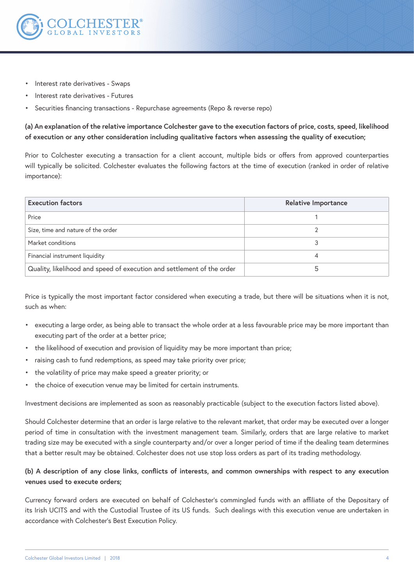

- Interest rate derivatives Swaps
- Interest rate derivatives Futures
- Securities financing transactions Repurchase agreements (Repo & reverse repo)

**(a) An explanation of the relative importance Colchester gave to the execution factors of price, costs, speed, likelihood of execution or any other consideration including qualitative factors when assessing the quality of execution;** 

Prior to Colchester executing a transaction for a client account, multiple bids or offers from approved counterparties will typically be solicited. Colchester evaluates the following factors at the time of execution (ranked in order of relative importance):

| <b>Execution factors</b>                                               | <b>Relative Importance</b> |  |  |
|------------------------------------------------------------------------|----------------------------|--|--|
| Price                                                                  |                            |  |  |
| Size, time and nature of the order                                     |                            |  |  |
| Market conditions                                                      |                            |  |  |
| Financial instrument liquidity                                         |                            |  |  |
| Quality, likelihood and speed of execution and settlement of the order |                            |  |  |

Price is typically the most important factor considered when executing a trade, but there will be situations when it is not, such as when:

- executing a large order, as being able to transact the whole order at a less favourable price may be more important than executing part of the order at a better price;
- the likelihood of execution and provision of liquidity may be more important than price;
- raising cash to fund redemptions, as speed may take priority over price;
- the volatility of price may make speed a greater priority; or
- the choice of execution venue may be limited for certain instruments.

Investment decisions are implemented as soon as reasonably practicable (subject to the execution factors listed above).

Should Colchester determine that an order is large relative to the relevant market, that order may be executed over a longer period of time in consultation with the investment management team. Similarly, orders that are large relative to market trading size may be executed with a single counterparty and/or over a longer period of time if the dealing team determines that a better result may be obtained. Colchester does not use stop loss orders as part of its trading methodology.

#### **(b) A description of any close links, conflicts of interests, and common ownerships with respect to any execution venues used to execute orders;**

Currency forward orders are executed on behalf of Colchester's commingled funds with an affiliate of the Depositary of its Irish UCITS and with the Custodial Trustee of its US funds. Such dealings with this execution venue are undertaken in accordance with Colchester's Best Execution Policy.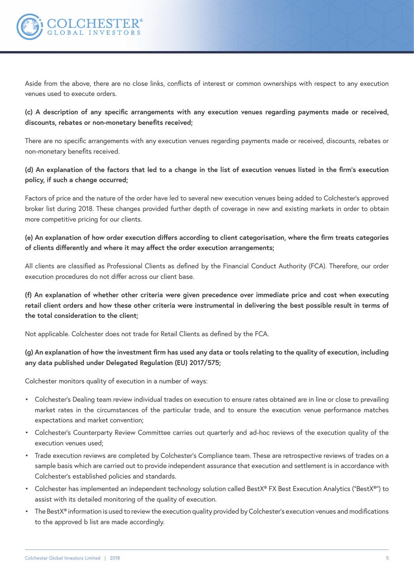

Aside from the above, there are no close links, conflicts of interest or common ownerships with respect to any execution venues used to execute orders.

## **(c) A description of any specific arrangements with any execution venues regarding payments made or received, discounts, rebates or non-monetary benefits received;**

There are no specific arrangements with any execution venues regarding payments made or received, discounts, rebates or non-monetary benefits received.

#### **(d) An explanation of the factors that led to a change in the list of execution venues listed in the firm's execution policy, if such a change occurred;**

Factors of price and the nature of the order have led to several new execution venues being added to Colchester's approved broker list during 2018. These changes provided further depth of coverage in new and existing markets in order to obtain more competitive pricing for our clients.

## **(e) An explanation of how order execution differs according to client categorisation, where the firm treats categories of clients differently and where it may affect the order execution arrangements;**

All clients are classified as Professional Clients as defined by the Financial Conduct Authority (FCA). Therefore, our order execution procedures do not differ across our client base.

**(f) An explanation of whether other criteria were given precedence over immediate price and cost when executing retail client orders and how these other criteria were instrumental in delivering the best possible result in terms of the total consideration to the client;** 

Not applicable. Colchester does not trade for Retail Clients as defined by the FCA.

## **(g) An explanation of how the investment firm has used any data or tools relating to the quality of execution, including any data published under Delegated Regulation (EU) 2017/575;**

Colchester monitors quality of execution in a number of ways:

- Colchester's Dealing team review individual trades on execution to ensure rates obtained are in line or close to prevailing market rates in the circumstances of the particular trade, and to ensure the execution venue performance matches expectations and market convention;
- Colchester's Counterparty Review Committee carries out quarterly and ad-hoc reviews of the execution quality of the execution venues used;
- Trade execution reviews are completed by Colchester's Compliance team. These are retrospective reviews of trades on a sample basis which are carried out to provide independent assurance that execution and settlement is in accordance with Colchester's established policies and standards.
- Colchester has implemented an independent technology solution called BestX® FX Best Execution Analytics ("BestX®") to assist with its detailed monitoring of the quality of execution.
- The BestX® information is used to review the execution quality provided by Colchester's execution venues and modifications to the approved b list are made accordingly.